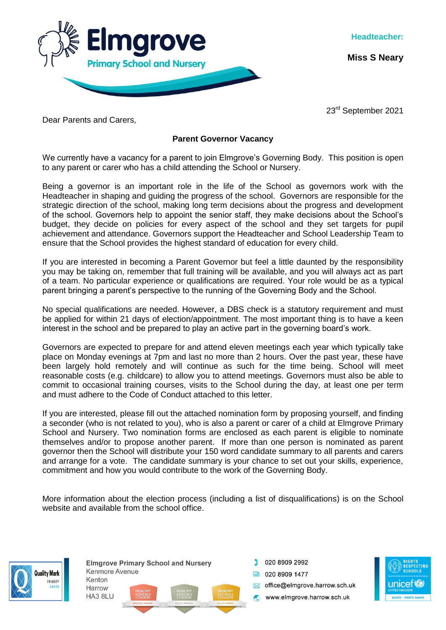

**Miss S Neary**

23<sup>rd</sup> September 2021

Dear Parents and Carers,

## **Parent Governor Vacancy**

We currently have a vacancy for a parent to join Elmgrove's Governing Body. This position is open to any parent or carer who has a child attending the School or Nursery.

Being a governor is an important role in the life of the School as governors work with the Headteacher in shaping and guiding the progress of the school. Governors are responsible for the strategic direction of the school, making long term decisions about the progress and development of the school. Governors help to appoint the senior staff, they make decisions about the School's budget, they decide on policies for every aspect of the school and they set targets for pupil achievement and attendance. Governors support the Headteacher and School Leadership Team to ensure that the School provides the highest standard of education for every child.

If you are interested in becoming a Parent Governor but feel a little daunted by the responsibility you may be taking on, remember that full training will be available, and you will always act as part of a team. No particular experience or qualifications are required. Your role would be as a typical parent bringing a parent's perspective to the running of the Governing Body and the School.

No special qualifications are needed. However, a DBS check is a statutory requirement and must be applied for within 21 days of election/appointment. The most important thing is to have a keen interest in the school and be prepared to play an active part in the governing board's work.

Governors are expected to prepare for and attend eleven meetings each year which typically take place on Monday evenings at 7pm and last no more than 2 hours. Over the past year, these have been largely hold remotely and will continue as such for the time being. School will meet reasonable costs (e.g. childcare) to allow you to attend meetings. Governors must also be able to commit to occasional training courses, visits to the School during the day, at least one per term and must adhere to the Code of Conduct attached to this letter.

If you are interested, please fill out the attached nomination form by proposing yourself, and finding a seconder (who is not related to you), who is also a parent or carer of a child at Elmgrove Primary School and Nursery. Two nomination forms are enclosed as each parent is eligible to nominate themselves and/or to propose another parent. If more than one person is nominated as parent governor then the School will distribute your 150 word candidate summary to all parents and carers and arrange for a vote. The candidate summary is your chance to set out your skills, experience, commitment and how you would contribute to the work of the Governing Body.

More information about the election process (including a list of disqualifications) is on the School website and available from the school office.



**Elmarove Primary School and Nursery** Kenmore Avenue Kenton Harrow HA3 8LU

020 8909 2992 **ED** 020 8909 1477 office@eImgrove.harrow.sch.uk www.elmgrove.harrow.sch.uk